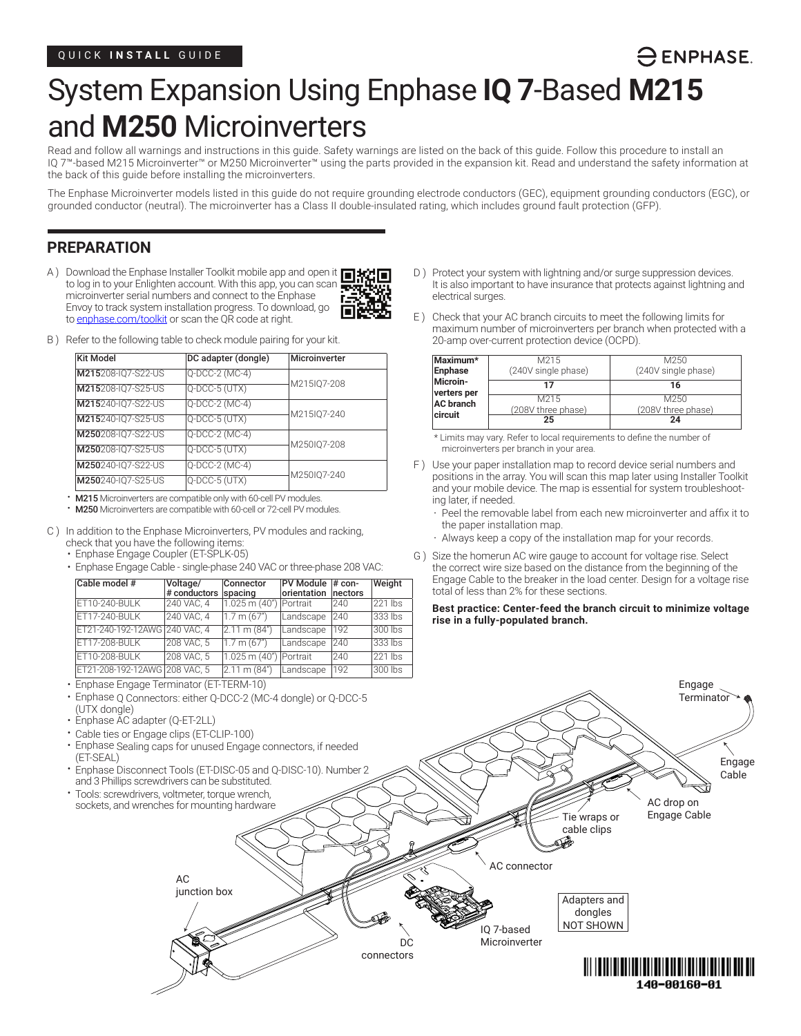# System Expansion Using Enphase **IQ 7**-Based **M215** and **M250** Microinverters

Read and follow all warnings and instructions in this guide. Safety warnings are listed on the back of this guide. Follow this procedure to install an IQ 7™-based M215 Microinverter™ or M250 Microinverter™ using the parts provided in the expansion kit. Read and understand the safety information at the back of this guide before installing the microinverters.

The Enphase Microinverter models listed in this guide do not require grounding electrode conductors (GEC), equipment grounding conductors (EGC), or grounded conductor (neutral). The microinverter has a Class II double-insulated rating, which includes ground fault protection (GFP).

# **PREPARATION**

A ) Download the Enphase Installer Toolkit mobile app and open it  $\Box$ to log in to your Enlighten account. With this app, you can scan microinverter serial numbers and connect to the Enphase Envoy to track system installation progress. To download, go to enphase.com/toolkit or scan the QR code at right.



B ) Refer to the following table to check module pairing for your kit.

| Kit Model          | DC adapter (dongle) | Microinverter |
|--------------------|---------------------|---------------|
| M215208-IQ7-S22-US | Q-DCC-2 (MC-4)      |               |
| M215208-IQ7-S25-US | Q-DCC-5 (UTX)       | M215IQ7-208   |
| M215240-IQ7-S22-US | Q-DCC-2 (MC-4)      |               |
| M215240-IQ7-S25-US | $Q-DCC-5$ (UTX)     | M215IQ7-240   |
| M250208-IQ7-S22-US | Q-DCC-2 (MC-4)      |               |
| M250208-IQ7-S25-US | $Q-DCC-5$ (UTX)     | M250IQ7-208   |
| M250240-IQ7-S22-US | Q-DCC-2 (MC-4)      |               |
| M250240-IQ7-S25-US | Q-DCC-5 (UTX)       | M250IQ7-240   |

• M215 Microinverters are compatible only with 60-cell PV modules.

• M250 Microinverters are compatible with 60-cell or 72-cell PV modules.

- C ) In addition to the Enphase Microinverters, PV modules and racking, check that you have the following items:
	- Enphase Engage Coupler (ET-SPLK-05)
	- Enphase Engage Cable single-phase 240 VAC or three-phase 208 VAC:

| Cable model #                 | Voltage/<br>$#$ conductors $ $ | Connector<br>spacing     | PV Module<br>orientation | $#$ con-<br>nectors | Weight  |
|-------------------------------|--------------------------------|--------------------------|--------------------------|---------------------|---------|
| ET10-240-BULK                 | 240 VAC, 4                     | 1.025 m (40")   Portrait |                          | 240                 | 221 lbs |
| ET17-240-BULK                 | 240 VAC. 4                     | 1.7 m (67")              | Landscape                | 1240                | 333 lbs |
| ET21-240-192-12AWG 240 VAC. 4 |                                | $2.11 \text{ m} (84)$    | Landscape                | 192                 | 300 lbs |
| ET17-208-BULK                 | 208 VAC. 5                     | 1.7 m (67")              | Landscape                | 1240                | 333 lbs |
| ET10-208-BULK                 | 208 VAC. 5                     | 1.025 m (40") Portrait   |                          | 1240                | 221 lbs |
| ET21-208-192-12AWG 208 VAC, 5 |                                | $ 2.11 \text{ m} (84")$  | Landscape                | 192                 | 300 lbs |

- Enphase Engage Terminator (ET-TERM-10)
- Enphase Q Connectors: either Q-DCC-2 (MC-4 dongle) or Q-DCC-5 (UTX dongle)
- 
- 
- (ET-SEAL)
- and 3 Phillips screwdrivers can be substituted.
- 

D ) Protect your system with lightning and/or surge suppression devices. It is also important to have insurance that protects against lightning and electrical surges.

 $\ominus$  ENPHASE.

E ) Check that your AC branch circuits to meet the following limits for maximum number of microinverters per branch when protected with a 20-amp over-current protection device (OCPD).

| Maximum*<br>Enphase     | M215<br>(240V single phase) | M250<br>(240V single phase) |
|-------------------------|-----------------------------|-----------------------------|
| Microin-<br>verters per | 17                          | 16                          |
| <b>AC</b> branch        | M215<br>(208V three phase)  | M250<br>(208V three phase)  |
| circuit                 | 25                          | 24                          |

\* Limits may vary. Refer to local requirements to define the number of microinverters per branch in your area.

- F ) Use your paper installation map to record device serial numbers and positions in the array. You will scan this map later using Installer Toolkit and your mobile device. The map is essential for system troubleshooting later, if needed.
	- Peel the removable label from each new microinverter and affix it to the paper installation map.
	- Always keep a copy of the installation map for your records.
- G ) Size the homerun AC wire gauge to account for voltage rise. Select the correct wire size based on the distance from the beginning of the Engage Cable to the breaker in the load center. Design for a voltage rise total of less than 2% for these sections.

**Best practice: Center-feed the branch circuit to minimize voltage rise in a fully-populated branch.** 

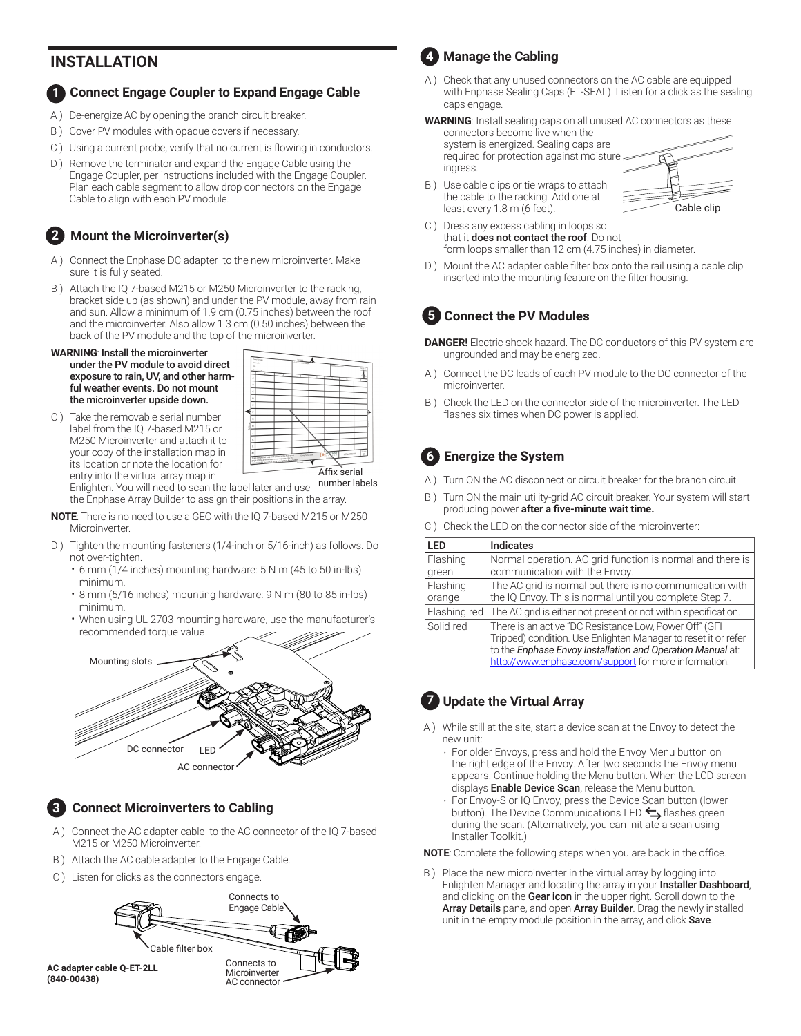# **<sup>4</sup> INSTALLATION**

#### **Connect Engage Coupler to Expand Engage Cable 1**

- A ) De-energize AC by opening the branch circuit breaker.
- B ) Cover PV modules with opaque covers if necessary.
- C ) Using a current probe, verify that no current is flowing in conductors.
- D) Remove the terminator and expand the Engage Cable using the Engage Coupler, per instructions included with the Engage Coupler. Plan each cable segment to allow drop connectors on the Engage Cable to align with each PV module.

# **Mount the Microinverter(s) 2**

- A ) Connect the Enphase DC adapter to the new microinverter. Make sure it is fully seated.
- B ) Attach the IQ 7-based M215 or M250 Microinverter to the racking, bracket side up (as shown) and under the PV module, away from rain and sun. Allow a minimum of 1.9 cm (0.75 inches) between the roof and the microinverter. Also allow 1.3 cm (0.50 inches) between the back of the PV module and the top of the microinverter.

#### **WARNING**: Install the microinverter under the PV module to avoid direct exposure to rain, UV, and other harmful weather events. Do not mount the microinverter upside down.

C ) Take the removable serial number label from the IQ 7-based M215 or M250 Microinverter and attach it to your copy of the installation map in its location or note the location for entry into the virtual array map in Enlighten. You will need to scan the label later and use the Enphase Array Builder to assign their positions in the array.

| <b>NOTE</b> : There is no need to use a GEC with the IO 7-based M215 or M250 |  |
|------------------------------------------------------------------------------|--|
| Microinverter.                                                               |  |

Affix serial number labels

- D ) Tighten the mounting fasteners (1/4-inch or 5/16-inch) as follows. Do not over-tighten.
	- 6 mm (1/4 inches) mounting hardware: 5 N m (45 to 50 in-lbs) minimum.
	- 8 mm (5/16 inches) mounting hardware: 9 N m (80 to 85 in-lbs) minimum.
	- When using UL 2703 mounting hardware, use the manufacturer's recommended torque value



# **3**

**(840-00438)**

### **Connect Microinverters to Cabling**

- A ) Connect the AC adapter cable to the AC connector of the IQ 7-based M215 or M250 Microinverter.
- B ) Attach the AC cable adapter to the Engage Cable.
- C ) Listen for clicks as the connectors engage.





- A ) Check that any unused connectors on the AC cable are equipped with Enphase Sealing Caps (ET-SEAL). Listen for a click as the sealing caps engage.
- **WARNING**: Install sealing caps on all unused AC connectors as these connectors become live when the

system is energized. Sealing caps are required for protection against moisture ingress.



- B ) Use cable clips or tie wraps to attach the cable to the racking. Add one at least every 1.8 m (6 feet).
- C ) Dress any excess cabling in loops so that it does not contact the roof. Do not form loops smaller than 12 cm (4.75 inches) in diameter.
- D) Mount the AC adapter cable filter box onto the rail using a cable clip inserted into the mounting feature on the filter housing.

# **Connect the PV Modules 5**

- **DANGER!** Electric shock hazard. The DC conductors of this PV system are ungrounded and may be energized.
- A ) Connect the DC leads of each PV module to the DC connector of the microinverter.
- B ) Check the LED on the connector side of the microinverter. The LED flashes six times when DC power is applied.

# **Energize the System 6**

- A ) Turn ON the AC disconnect or circuit breaker for the branch circuit.
- Turn ON the main utility-grid AC circuit breaker. Your system will start producing power **after a five-minute wait time.**
- C ) Check the LED on the connector side of the microinverter:

| LED                | <b>Indicates</b>                                                                                                                                                                                                                               |
|--------------------|------------------------------------------------------------------------------------------------------------------------------------------------------------------------------------------------------------------------------------------------|
| Flashing<br>green  | Normal operation. AC grid function is normal and there is<br>communication with the Envoy.                                                                                                                                                     |
| Flashing<br>orange | The AC grid is normal but there is no communication with<br>the IQ Envoy. This is normal until you complete Step 7.                                                                                                                            |
| Flashing red       | The AC grid is either not present or not within specification.                                                                                                                                                                                 |
| Solid red          | There is an active "DC Resistance Low, Power Off" (GFI<br>Tripped) condition. Use Enlighten Manager to reset it or refer<br>to the Enphase Envoy Installation and Operation Manual at:<br>http://www.enphase.com/support for more information. |

# **7** Update the Virtual Array

- A ) While still at the site, start a device scan at the Envoy to detect the new unit:
	- For older Envoys, press and hold the Envoy Menu button on the right edge of the Envoy. After two seconds the Envoy menu appears. Continue holding the Menu button. When the LCD screen displays Enable Device Scan, release the Menu button.
	- For Envoy-S or IQ Envoy, press the Device Scan button (lower button). The Device Communications LED  $\leftarrow$  flashes green during the scan. (Alternatively, you can initiate a scan using Installer Toolkit.)

**NOTE**: Complete the following steps when you are back in the office.

B ) Place the new microinverter in the virtual array by logging into Enlighten Manager and locating the array in your Installer Dashboard, and clicking on the Gear icon in the upper right. Scroll down to the Array Details pane, and open Array Builder. Drag the newly installed unit in the empty module position in the array, and click Save.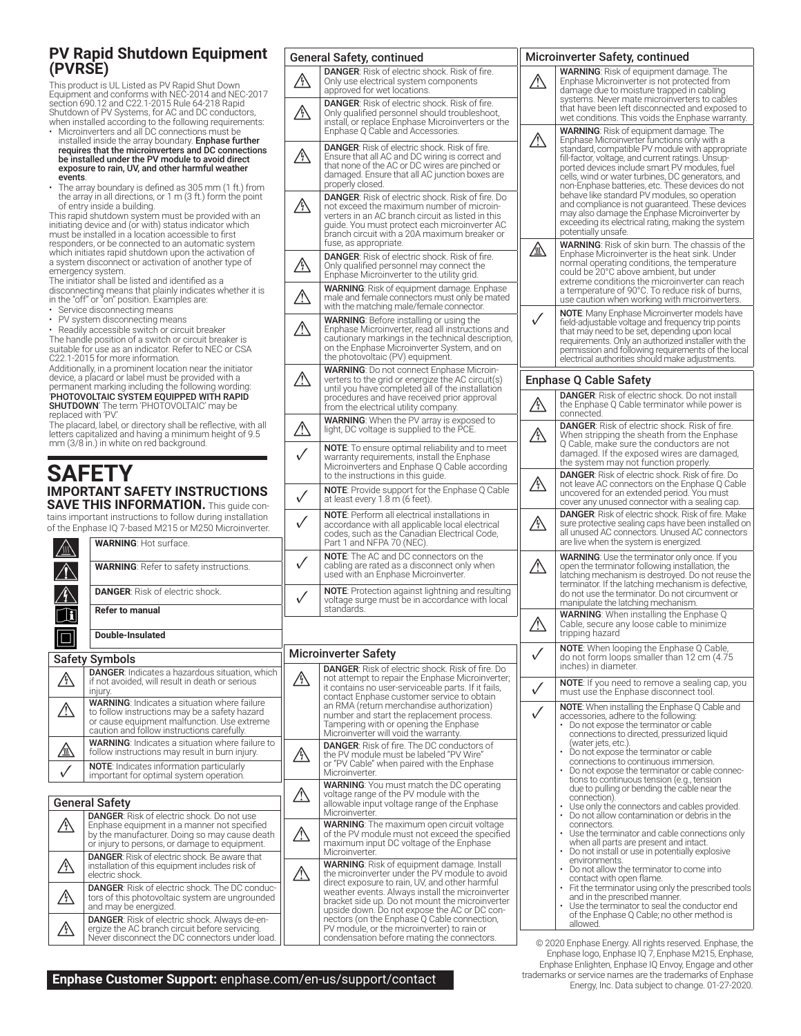## **PV Rapid Shutdown Equipment (PVRSE)**

This product is UL Listed as PV Rapid Shut Down Equipment and conforms with NEC-2014 and NEC-2017 section 690.12 and C22.1-2015 Rule 64-218 Rapid Shutdown of PV Systems, for AC and DC conductors, when installed according to the following requirements:

- Microinverters and all DC connections must be installed inside the array boundary. **Enphase further**<br>**requires that the microinverters and DC connections** be installed under the PV module to avoid direct exposure to rain, UV, and other harmful weather events.
- The array boundary is defined as 305 mm (1 ft.) from the array in all directions, or 1 m (3 ft.) form the point of entry inside a building.

This rapid shutdown system must be provided with an initiating device and (or with) status indicator which must be installed in a location accessible to first responders, or be connected to an automatic system which initiates rapid shutdown upon the activation of a system disconnect or activation of another type of emergency system.

The initiator shall be listed and identified as a disconnecting means that plainly indicates whether it is in the "off" or "on" position. Examples are:

- 
- Service disconnecting means<br>• PV system disconnecting mea PV system disconnecting means
- Readily accessible switch or circuit breaker

The handle position of a switch or circuit breaker is suitable for use as an indicator. Refer to NEC or CSA C22.1-2015 for more information.

Additionally, in a prominent location near the initiator device, a placard or label must be provided with a permanent marking including the following wording: 'PHOTOVOLTAIC SYSTEM EQUIPPED WITH RAPID **SHUTDOWN'** The term 'PHOTOVOLTAIC' may be<br>replaced with 'PV.'

The placard, label, or directory shall be reflective, with all letters capitalized and having a minimum height of 9.5 mm (3/8 in.) in white on red background.

# **SAFETY IMPORTANT SAFETY INSTRUCTIONS SAVE THIS INFORMATION.** This guide con-

|    | <b>SAVE THIS INFURNIATION.</b> This quide con-                                                                                                                                                     |      |
|----|----------------------------------------------------------------------------------------------------------------------------------------------------------------------------------------------------|------|
|    | tains important instructions to follow during installation<br>of the Enphase IO 7-based M215 or M250 Microinverter.                                                                                |      |
|    | <b>WARNING: Hot surface.</b>                                                                                                                                                                       |      |
|    | <b>WARNING:</b> Refer to safety instructions.                                                                                                                                                      |      |
|    | <b>DANGER:</b> Risk of electric shock.                                                                                                                                                             |      |
|    | <b>Refer to manual</b>                                                                                                                                                                             |      |
|    | Double-Insulated                                                                                                                                                                                   |      |
|    | <b>Safety Symbols</b>                                                                                                                                                                              | Mici |
| Y) | <b>DANGER:</b> Indicates a hazardous situation, which<br>if not avoided, will result in death or serious<br>injury.                                                                                |      |
|    | <b>WARNING:</b> Indicates a situation where failure<br>to follow instructions may be a safety hazard<br>or cause equipment malfunction. Use extreme<br>caution and follow instructions carefully.  |      |
|    | <b>WARNING:</b> Indicates a situation where failure to<br>follow instructions may result in burn injury.                                                                                           |      |
|    | NOTE: Indicates information particularly<br>important for optimal system operation.                                                                                                                |      |
|    |                                                                                                                                                                                                    |      |
|    | <b>General Safety</b>                                                                                                                                                                              |      |
|    | <b>DANGER:</b> Risk of electric shock. Do not use<br>Enphase equipment in a manner not specified<br>by the manufacturer. Doing so may cause death<br>or injury to persons, or damage to equipment. |      |
|    | <b>DANGER:</b> Risk of electric shock. Be aware that<br>installation of this equipment includes risk of<br>electric shock.                                                                         |      |
|    | <b>DANGER:</b> Risk of electric shock. The DC conduc-<br>tors of this photovoltaic system are ungrounded<br>and may be energized.                                                                  |      |
|    |                                                                                                                                                                                                    |      |

DANGER: Risk of electric shock. Always de-en-<br>ergize the AC branch circuit before servicing. Never disconnect the DC connectors under load.

|     | <b>General Safety, continued</b>                                                                                                                                                                                                                                                    |              | Microinverter Safety, continued                                                                                                                                                                                                          |
|-----|-------------------------------------------------------------------------------------------------------------------------------------------------------------------------------------------------------------------------------------------------------------------------------------|--------------|------------------------------------------------------------------------------------------------------------------------------------------------------------------------------------------------------------------------------------------|
| 叭   | <b>DANGER:</b> Risk of electric shock. Risk of fire.<br>Only use electrical system components<br>approved for wet locations.                                                                                                                                                        |              | <b>WARNING:</b> Risk of equipment dan<br>Enphase Microinverter is not prote<br>damage due to moisture trapped i                                                                                                                          |
|     | <b>DANGER:</b> Risk of electric shock. Risk of fire.<br>Only qualified personnel should troubleshoot,<br>install, or replace Enphase Microinverters or the<br>Enphase Q Cable and Accessories.                                                                                      |              | systems. Never mate microinverte<br>that have been left disconnected a<br>wet conditions. This voids the Enp<br><b>WARNING:</b> Risk of equipment dam                                                                                    |
| ⁄\\ | <b>DANGER:</b> Risk of electric shock. Risk of fire.<br>Ensure that all AC and DC wiring is correct and<br>that none of the AC or DC wires are pinched or<br>damaged. Ensure that all AC junction boxes are<br>properly closed.                                                     | <u>∕∖</u>    | Enphase Microinverter functions of<br>standard, compatible PV module w<br>fill-factor, voltage, and current rating<br>ported devices include smart PV m<br>cells, wind or water turbines, DC ge<br>non-Enphase batteries, etc. These     |
|     | <b>DANGER:</b> Risk of electric shock. Risk of fire. Do<br>not exceed the maximum number of microin-<br>verters in an AC branch circuit as listed in this<br>guide. You must protect each microinverter AC<br>branch circuit with a 20A maximum breaker or<br>fuse, as appropriate. |              | behave like standard PV modules,<br>and compliance is not quaranteed.<br>may also damage the Enphase Mio<br>exceeding its electrical rating, maki<br>potentially unsafe.<br><b>WARNING: Risk of skin burn. The</b>                       |
| /A  | <b>DANGER:</b> Risk of electric shock. Risk of fire.<br>Only qualified personnel may connect the<br>Enphase Microinverter to the utility grid.                                                                                                                                      | ⚠            | Enphase Microinverter is the heat<br>normal operating conditions, the t<br>could be 20°C above ambient, but<br>extreme conditions the microinve                                                                                          |
|     | <b>WARNING:</b> Risk of equipment damage. Enphase<br>male and female connectors must only be mated<br>with the matching male/female connector.                                                                                                                                      |              | a temperature of 90°C. To reduce<br>use caution when working with m                                                                                                                                                                      |
|     | <b>WARNING:</b> Before installing or using the<br>Enphase Microinverter, read all instructions and<br>cautionary markings in the technical description,<br>on the Enphase Microinverter System, and on<br>the photovoltaic (PV) equipment.                                          | $\checkmark$ | <b>NOTE:</b> Many Enphase Microinverte<br>field-adjustable voltage and frequer<br>that may need to be set, depending<br>requirements. Only an authorized in<br>permission and following requirem<br>electrical authorities should make a |
|     | <b>WARNING:</b> Do not connect Enphase Microin-<br>verters to the grid or energize the AC circuit(s)                                                                                                                                                                                |              | <b>Enphase Q Cable Safety</b>                                                                                                                                                                                                            |
|     | until you have completed all of the installation<br>procedures and have received prior approval<br>from the electrical utility company.                                                                                                                                             | ⁄\\          | <b>DANGER:</b> Risk of electric shock. D<br>the Enphase Q Cable terminator v<br>connected.                                                                                                                                               |
|     | <b>WARNING:</b> When the PV array is exposed to<br>light, DC voltage is supplied to the PCE.                                                                                                                                                                                        | /\\          | <b>DANGER:</b> Risk of electric shock. I<br>When stripping the sheath from t                                                                                                                                                             |
|     | <b>NOTE:</b> To ensure optimal reliability and to meet<br>warranty requirements, install the Enphase<br>Microinverters and Enphase Q Cable according                                                                                                                                |              | Q Cable, make sure the conducto<br>damaged. If the exposed wires a<br>the system may not function pro                                                                                                                                    |
|     | to the instructions in this guide.<br><b>NOTE:</b> Provide support for the Enphase Q Cable<br>at least every 1.8 m (6 feet).                                                                                                                                                        | /\           | <b>DANGER:</b> Risk of electric shock. Ri<br>not leave AC connectors on the En<br>uncovered for an extended period.<br>cover any unused connector with a                                                                                 |
|     | <b>NOTE:</b> Perform all electrical installations in<br>accordance with all applicable local electrical<br>codes, such as the Canadian Electrical Code,<br>Part 1 and NFPA 70 (NEC).                                                                                                | /\           | <b>DANGER:</b> Risk of electric shock. Ris<br>sure protective sealing caps have b<br>all unused AC connectors. Unused<br>are live when the system is energiz                                                                             |
|     | <b>NOTE:</b> The AC and DC connectors on the<br>cabling are rated as a disconnect only when<br>used with an Enphase Microinverter.                                                                                                                                                  | <u>/i\</u>   | <b>WARNING:</b> Use the terminator only<br>open the terminator following insta<br>latching mechanism is destroyed.<br>terminator. If the latching mechani:                                                                               |
|     | <b>NOTE:</b> Protection against lightning and resulting<br>voltage surge must be in accordance with local<br>standards.                                                                                                                                                             |              | do not use the terminator. Do not o<br>manipulate the latching mechanisr                                                                                                                                                                 |
|     |                                                                                                                                                                                                                                                                                     | ⁄!           | <b>WARNING:</b> When installing the Er<br>Cable, secure any loose cable to<br>tripping hazard                                                                                                                                            |
|     | <b>Microinverter Safety</b><br>DANGER: Risk of electric shock. Risk of fire. Do                                                                                                                                                                                                     | $\checkmark$ | <b>NOTE:</b> When looping the Enphase<br>do not form loops smaller than 1<br>inches) in diameter.                                                                                                                                        |
|     | not attempt to repair the Enphase Microinverter;<br>it contains no user-serviceable parts. If it fails,<br>contact Enphase customer service to obtain                                                                                                                               |              | <b>NOTE:</b> If you need to remove a se<br>must use the Enphase disconned                                                                                                                                                                |
|     | an RMA (return merchandise authorization)<br>number and start the replacement process.<br>Tampering with or opening the Enphase<br>Microinverter will void the warranty.                                                                                                            |              | <b>NOTE:</b> When installing the Enphase<br>accessories, adhere to the followin<br>• Do not expose the terminator or<br>connections to directed, pressur                                                                                 |
|     | <b>DANGER:</b> Risk of fire. The DC conductors of<br>the PV module must be labeled "PV Wire"<br>or "PV Cable" when paired with the Enphase<br>Microinverter.                                                                                                                        |              | (water jets, etc.).<br>Do not expose the terminator or<br>connections to continuous imme<br>Do not expose the terminator or<br>tions to continuous tension (e.g.                                                                         |
|     | <b>WARNING:</b> You must match the DC operating                                                                                                                                                                                                                                     |              |                                                                                                                                                                                                                                          |

**WARNING**: You must match the DC operating<br>
voltage range of the PV module with the allowable input voltage range of the Enphase Microinverter. WARNING: The maximum open circuit voltage of the PV module must not exceed the specified maximum input DC voltage of the Enphase **Microinverter** WARNING: Risk of equipment damage. Install<br>the microinverter under the PV module to avoid direct exposure to rain, UV, and other harmful weather events. Always install the microinverter bracket side up. Do not mount the microinverter upside down. Do not expose the AC or DC con- nectors (on the Enphase Q Cable connection, PV module, or the microinverter) to rain or

condensation before mating the connectors.

**Enphase Customer Support:** enphase.com/en-us/support/contact

|   | <b>WARNING</b> : Risk of equipment damage. The<br>Enphase Microinverter is not protected from<br>damage due to moisture trapped in cabling<br>systems. Never mate microinverters to cables                                                                                                                                                      |
|---|-------------------------------------------------------------------------------------------------------------------------------------------------------------------------------------------------------------------------------------------------------------------------------------------------------------------------------------------------|
|   | that have been left disconnected and exposed to<br>wet conditions. This voids the Enphase warranty.                                                                                                                                                                                                                                             |
| Λ | <b>WARNING:</b> Risk of equipment damage. The<br>Enphase Microinverter functions only with a<br>standard, compatible PV module with appropriate                                                                                                                                                                                                 |
|   | fill-factor, voltage, and current ratings. Unsup-<br>ported devices include smart PV modules, fuel<br>cells, wind or water turbines, DC generators, and<br>non-Enphase batteries, etc. These devices do not<br>behave like standard PV modules, so operation<br>and compliance is not guaranteed. These devices                                 |
|   | may also damage the Enphase Microinverter by<br>exceeding its electrical rating, making the system<br>potentially unsafe.                                                                                                                                                                                                                       |
| 灬 | WARNING: Risk of skin burn. The chassis of the<br>Enphase Microinverter is the heat sink. Under<br>normal operating conditions, the temperature<br>could be 20°C above ambient, but under<br>extreme conditions the microinverter can reach<br>a temperature of 90°C. To reduce risk of burns,<br>use caution when working with microinverters. |
| Γ | <b>NOTE:</b> Many Enphase Microinverter models have<br>field-adjustable voltage and frequency trip points<br>that may need to be set, depending upon local<br>requirements. Only an authorized installer with the<br>permission and following requirements of the local<br>electrical authorities should make adjustments.                      |
|   | Enphase Q Cable Safety                                                                                                                                                                                                                                                                                                                          |
|   | <b>DANGER:</b> Risk of electric shock. Do not install<br>the Enphase Q Cable terminator while power is<br>connected.                                                                                                                                                                                                                            |
|   | DANGER: Risk of electric shock. Risk of fire.<br>When stripping the sheath from the Enphase<br>Q Cable, make sure the conductors are not<br>damaged. If the exposed wires are damaged,<br>the system may not function properly.                                                                                                                 |
| 伀 | <b>DANGER:</b> Risk of electric shock. Risk of fire. Do<br>not leave AC connectors on the Enphase Q Cable<br>uncovered for an extended period. You must<br>cover any unused connector with a sealing cap.                                                                                                                                       |
|   | <b>DANGER:</b> Risk of electric shock. Risk of fire. Make<br>sure protective sealing caps have been installed on<br>all unused AC connectors. Unused AC connectors<br>are live when the system is energized.                                                                                                                                    |
|   | <b>WARNING:</b> Use the terminator only once. If you<br>open the terminator following installation, the<br>latching mechanism is destroyed. Do not reuse the<br>terminator. If the latching mechanism is defective,<br>do not use the terminator. Do not circumvent or<br>manipulate the latching mechanism.                                    |
|   | <b>WARNING</b> : When installing the Enphase Q<br>Cable, secure any loose cable to minimize<br>tripping hazard                                                                                                                                                                                                                                  |
|   | <b>NOTE:</b> When looping the Enphase Q Cable,<br>do not form loops smaller than 12 cm (4.75<br>inches) in diameter.                                                                                                                                                                                                                            |
|   | <b>NOTE</b> : If you need to remove a sealing cap, you<br>must use the Enphase disconnect tool.                                                                                                                                                                                                                                                 |
|   | <b>NOTE</b> : When installing the Enphase Q Cable and<br>accessories, adhere to the following:<br>Do not expose the terminator or cable                                                                                                                                                                                                         |
|   | connections to directed, pressurized liquid                                                                                                                                                                                                                                                                                                     |
|   | (water jets, etc.).<br>Do not expose the terminator or cable                                                                                                                                                                                                                                                                                    |
|   | connections to continuous immersion.<br>Do not expose the terminator or cable connec-                                                                                                                                                                                                                                                           |
|   | tions to continuous tension (e.g., tension<br>due to pulling or bending the cable near the<br>connection).                                                                                                                                                                                                                                      |
|   | Use only the connectors and cables provided.<br>Do not allow contamination or debris in the<br>connectors.                                                                                                                                                                                                                                      |
|   | Use the terminator and cable connections only<br>when all parts are present and intact.<br>Do not install or use in potentially explosive                                                                                                                                                                                                       |
|   | environments.                                                                                                                                                                                                                                                                                                                                   |
|   | Do not allow the terminator to come into<br>contact with open flame.<br>Fit the terminator using only the prescribed tools                                                                                                                                                                                                                      |
|   | and in the prescribed manner.                                                                                                                                                                                                                                                                                                                   |
|   | Use the terminator to seal the conductor end<br>of the Enphase Q Cable; no other method is<br>allowed.                                                                                                                                                                                                                                          |

© 2020 Enphase Energy. All rights reserved. Enphase, the Enphase logo, Enphase IQ 7, Enphase M215, Enphase, Enphase Enlighten, Enphase IQ Envoy, Engage and other trademarks or service names are the trademarks of Enphase Energy, Inc. Data subject to change. 01-27-2020.